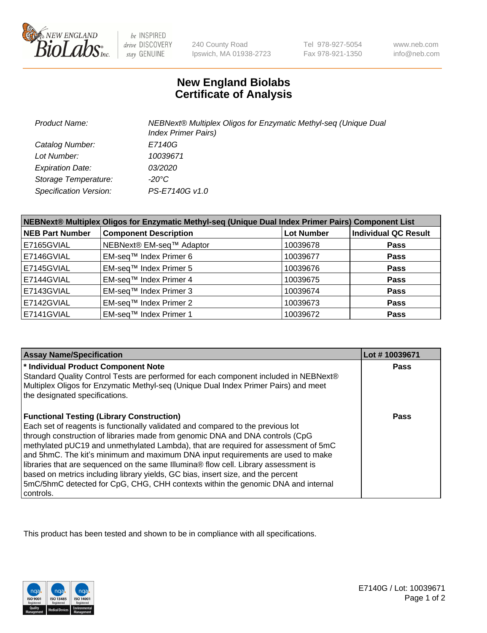

be INSPIRED drive DISCOVERY stay GENUINE

240 County Road Ipswich, MA 01938-2723 Tel 978-927-5054 Fax 978-921-1350

www.neb.com info@neb.com

## **New England Biolabs Certificate of Analysis**

| <b>Product Name:</b>    | NEBNext® Multiplex Oligos for Enzymatic Methyl-seq (Unique Dual<br><b>Index Primer Pairs)</b> |
|-------------------------|-----------------------------------------------------------------------------------------------|
| Catalog Number:         | E7140G                                                                                        |
| Lot Number:             | 10039671                                                                                      |
| <b>Expiration Date:</b> | <i>03/2020</i>                                                                                |
| Storage Temperature:    | -20°C                                                                                         |
| Specification Version:  | PS-E7140G v1.0                                                                                |

| NEBNext® Multiplex Oligos for Enzymatic Methyl-seq (Unique Dual Index Primer Pairs) Component List |                              |                   |                             |  |
|----------------------------------------------------------------------------------------------------|------------------------------|-------------------|-----------------------------|--|
| <b>NEB Part Number</b>                                                                             | <b>Component Description</b> | <b>Lot Number</b> | <b>Individual QC Result</b> |  |
| E7165GVIAL                                                                                         | NEBNext® EM-seq™ Adaptor     | 10039678          | <b>Pass</b>                 |  |
| E7146GVIAL                                                                                         | EM-seq™ Index Primer 6       | 10039677          | <b>Pass</b>                 |  |
| E7145GVIAL                                                                                         | EM-seq™ Index Primer 5       | 10039676          | <b>Pass</b>                 |  |
| E7144GVIAL                                                                                         | EM-seq™ Index Primer 4       | 10039675          | <b>Pass</b>                 |  |
| E7143GVIAL                                                                                         | EM-seq™ Index Primer 3       | 10039674          | <b>Pass</b>                 |  |
| E7142GVIAL                                                                                         | EM-seq™ Index Primer 2       | 10039673          | <b>Pass</b>                 |  |
| E7141GVIAL                                                                                         | EM-sea™ Index Primer 1       | 10039672          | <b>Pass</b>                 |  |

| <b>Assay Name/Specification</b>                                                                                                                                                                                                                                                                                                                                                                                                                                                                                                                                                                                                                                           | Lot #10039671 |
|---------------------------------------------------------------------------------------------------------------------------------------------------------------------------------------------------------------------------------------------------------------------------------------------------------------------------------------------------------------------------------------------------------------------------------------------------------------------------------------------------------------------------------------------------------------------------------------------------------------------------------------------------------------------------|---------------|
| * Individual Product Component Note<br>Standard Quality Control Tests are performed for each component included in NEBNext®<br>Multiplex Oligos for Enzymatic Methyl-seq (Unique Dual Index Primer Pairs) and meet<br>the designated specifications.                                                                                                                                                                                                                                                                                                                                                                                                                      | <b>Pass</b>   |
| <b>Functional Testing (Library Construction)</b><br>Each set of reagents is functionally validated and compared to the previous lot<br>through construction of libraries made from genomic DNA and DNA controls (CpG<br>methylated pUC19 and unmethylated Lambda), that are required for assessment of 5mC<br>and 5hmC. The kit's minimum and maximum DNA input requirements are used to make<br>libraries that are sequenced on the same Illumina® flow cell. Library assessment is<br>based on metrics including library yields, GC bias, insert size, and the percent<br>5mC/5hmC detected for CpG, CHG, CHH contexts within the genomic DNA and internal<br>controls. | Pass          |

This product has been tested and shown to be in compliance with all specifications.